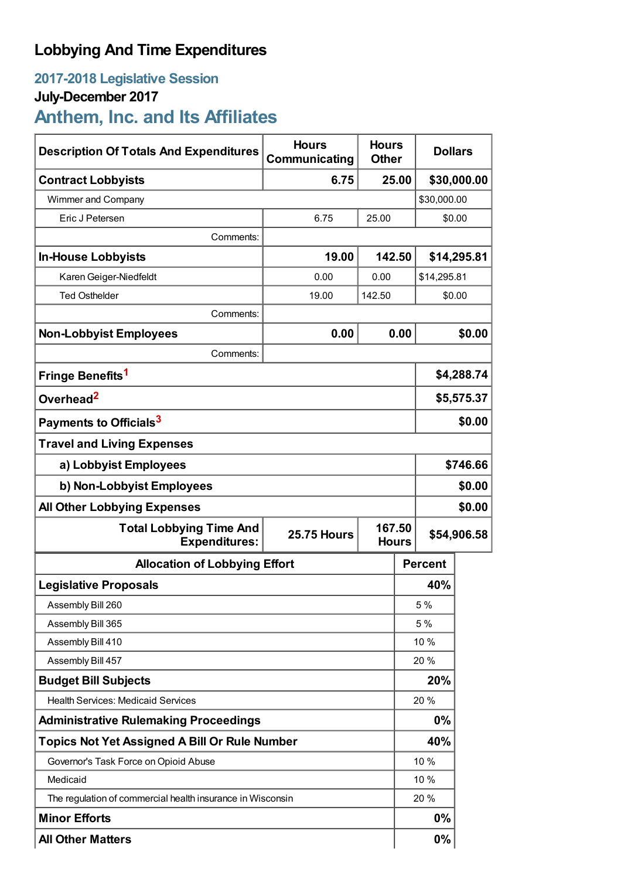## **Lobbying And Time Expenditures**

## **2017-2018 Legislative Session**

## **July-December 2017**

# **Anthem, Inc. and Its Affiliates**

| <b>Description Of Totals And Expenditures</b>                                | <b>Hours</b><br>Communicating | <b>Hours</b><br><b>Other</b> |             | <b>Dollars</b> |             |  |
|------------------------------------------------------------------------------|-------------------------------|------------------------------|-------------|----------------|-------------|--|
| <b>Contract Lobbyists</b>                                                    | 6.75                          |                              | 25.00       |                | \$30,000.00 |  |
| Wimmer and Company                                                           |                               |                              |             | \$30,000.00    |             |  |
| Eric J Petersen                                                              | 6.75                          | 25.00                        |             | \$0.00         |             |  |
| Comments:                                                                    |                               |                              |             |                |             |  |
| <b>In-House Lobbyists</b>                                                    | 19.00                         | 142.50                       |             | \$14,295.81    |             |  |
| Karen Geiger-Niedfeldt                                                       | 0.00                          | 0.00                         |             | \$14,295.81    |             |  |
| <b>Ted Osthelder</b>                                                         | 19.00                         | 142.50                       | \$0.00      |                |             |  |
| Comments:                                                                    |                               |                              |             |                |             |  |
| <b>Non-Lobbyist Employees</b>                                                | 0.00                          |                              | 0.00        |                | \$0.00      |  |
| Comments:                                                                    |                               |                              |             |                |             |  |
| Fringe Benefits <sup>1</sup>                                                 |                               |                              |             | \$4,288.74     |             |  |
| Overhead <sup>2</sup>                                                        |                               |                              |             | \$5,575.37     |             |  |
| Payments to Officials <sup>3</sup>                                           |                               |                              |             | \$0.00         |             |  |
| <b>Travel and Living Expenses</b>                                            |                               |                              |             |                |             |  |
| a) Lobbyist Employees                                                        |                               |                              |             | \$746.66       |             |  |
| b) Non-Lobbyist Employees                                                    |                               |                              |             | \$0.00         |             |  |
| \$0.00<br><b>All Other Lobbying Expenses</b>                                 |                               |                              |             |                |             |  |
| <b>Total Lobbying Time And</b><br><b>25.75 Hours</b><br><b>Expenditures:</b> |                               | 167.50<br><b>Hours</b>       | \$54,906.58 |                |             |  |
| <b>Allocation of Lobbying Effort</b>                                         |                               |                              |             | <b>Percent</b> |             |  |
| <b>Legislative Proposals</b>                                                 |                               |                              |             | 40%            |             |  |
| Assembly Bill 260                                                            |                               |                              |             | 5 %            |             |  |
| Assembly Bill 365                                                            |                               |                              |             | 5 %            |             |  |
| Assembly Bill 410                                                            |                               |                              |             | 10 %           |             |  |
| Assembly Bill 457                                                            |                               |                              |             | 20%            |             |  |
| <b>Budget Bill Subjects</b>                                                  |                               |                              | 20%         |                |             |  |
| <b>Health Services: Medicaid Services</b>                                    |                               |                              | 20%         |                |             |  |
| <b>Administrative Rulemaking Proceedings</b>                                 |                               |                              |             | 0%             |             |  |
| <b>Topics Not Yet Assigned A Bill Or Rule Number</b>                         |                               |                              | 40%         |                |             |  |
| Governor's Task Force on Opioid Abuse                                        |                               |                              |             | 10 %           |             |  |
| Medicaid                                                                     |                               |                              |             | 10 %           |             |  |
| The regulation of commercial health insurance in Wisconsin                   |                               |                              |             | 20%            |             |  |
| <b>Minor Efforts</b>                                                         |                               |                              |             | 0%             |             |  |
| <b>All Other Matters</b>                                                     |                               |                              |             | 0%             |             |  |